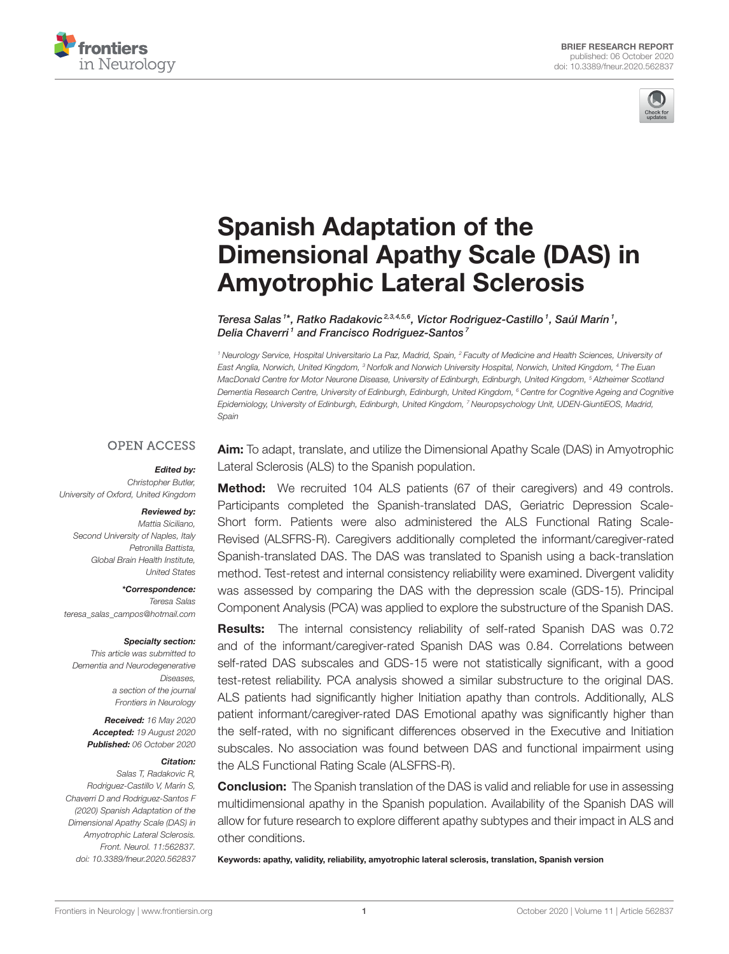



# Spanish Adaptation of the [Dimensional Apathy Scale \(DAS\) in](https://www.frontiersin.org/articles/10.3389/fneur.2020.562837/full) Amyotrophic Lateral Sclerosis

Teresa Salas<sup>1\*</sup>, Ratko Radakovic<sup>2,3,4,5,6</sup>, Víctor Rodriguez-Castillo<sup>1</sup>, Saúl Marín<sup>1</sup>, Delia Chaverri<sup>1</sup> and Francisco Rodriguez-Santos<sup>7</sup>

<sup>1</sup> Neurology Service, Hospital Universitario La Paz, Madrid, Spain, <sup>2</sup> Faculty of Medicine and Health Sciences, University of East Anglia, Norwich, United Kingdom, <sup>3</sup> Norfolk and Norwich University Hospital, Norwich, United Kingdom, <sup>4</sup> The Euan MacDonald Centre for Motor Neurone Disease, University of Edinburgh, Edinburgh, United Kingdom, <sup>5</sup> Alzheimer Scotland Dementia Research Centre, University of Edinburgh, Edinburgh, United Kingdom, <sup>6</sup> Centre for Cognitive Ageing and Cognitive Epidemiology, University of Edinburgh, Edinburgh, United Kingdom, <sup>7</sup> Neuropsychology Unit, UDEN-GiuntiEOS, Madrid, Spain

#### **OPEN ACCESS**

#### Edited by:

Christopher Butler, University of Oxford, United Kingdom

#### Reviewed by:

Mattia Siciliano, Second University of Naples, Italy Petronilla Battista, Global Brain Health Institute, United States

\*Correspondence:

Teresa Salas [teresa\\_salas\\_campos@hotmail.com](mailto:teresa_salas_campos@hotmail.com)

#### Specialty section:

This article was submitted to Dementia and Neurodegenerative Diseases, a section of the journal Frontiers in Neurology

> Received: 16 May 2020 Accepted: 19 August 2020 Published: 06 October 2020

#### Citation:

Salas T, Radakovic R, Rodriguez-Castillo V, Marín S, Chaverri D and Rodriguez-Santos F (2020) Spanish Adaptation of the Dimensional Apathy Scale (DAS) in Amyotrophic Lateral Sclerosis. Front. Neurol. 11:562837. doi: [10.3389/fneur.2020.562837](https://doi.org/10.3389/fneur.2020.562837) Aim: To adapt, translate, and utilize the Dimensional Apathy Scale (DAS) in Amyotrophic Lateral Sclerosis (ALS) to the Spanish population.

Method: We recruited 104 ALS patients (67 of their caregivers) and 49 controls. Participants completed the Spanish-translated DAS, Geriatric Depression Scale-Short form. Patients were also administered the ALS Functional Rating Scale-Revised (ALSFRS-R). Caregivers additionally completed the informant/caregiver-rated Spanish-translated DAS. The DAS was translated to Spanish using a back-translation method. Test-retest and internal consistency reliability were examined. Divergent validity was assessed by comparing the DAS with the depression scale (GDS-15). Principal Component Analysis (PCA) was applied to explore the substructure of the Spanish DAS.

Results: The internal consistency reliability of self-rated Spanish DAS was 0.72 and of the informant/caregiver-rated Spanish DAS was 0.84. Correlations between self-rated DAS subscales and GDS-15 were not statistically significant, with a good test-retest reliability. PCA analysis showed a similar substructure to the original DAS. ALS patients had significantly higher Initiation apathy than controls. Additionally, ALS patient informant/caregiver-rated DAS Emotional apathy was significantly higher than the self-rated, with no significant differences observed in the Executive and Initiation subscales. No association was found between DAS and functional impairment using the ALS Functional Rating Scale (ALSFRS-R).

**Conclusion:** The Spanish translation of the DAS is valid and reliable for use in assessing multidimensional apathy in the Spanish population. Availability of the Spanish DAS will allow for future research to explore different apathy subtypes and their impact in ALS and other conditions.

Keywords: apathy, validity, reliability, amyotrophic lateral sclerosis, translation, Spanish version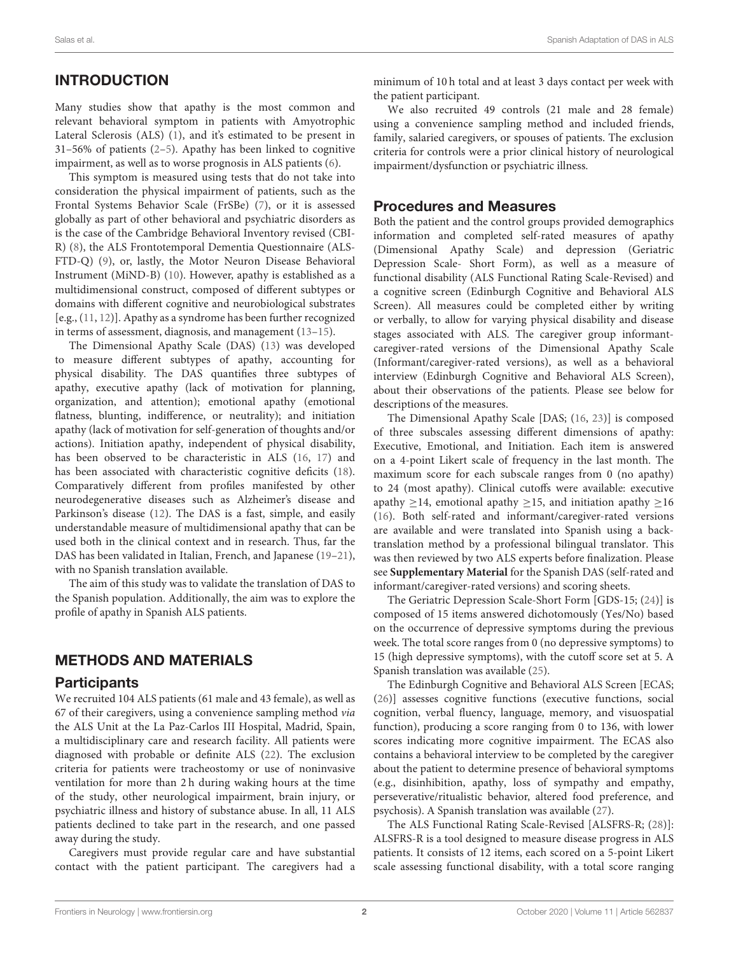#### Salas et al. Spanish Adaptation of DAS in ALS

# INTRODUCTION

Many studies show that apathy is the most common and relevant behavioral symptom in patients with Amyotrophic Lateral Sclerosis (ALS) [\(1\)](#page-5-0), and it's estimated to be present in 31–56% of patients [\(2–](#page-5-1)[5\)](#page-6-0). Apathy has been linked to cognitive impairment, as well as to worse prognosis in ALS patients [\(6\)](#page-6-1).

This symptom is measured using tests that do not take into consideration the physical impairment of patients, such as the Frontal Systems Behavior Scale (FrSBe) [\(7\)](#page-6-2), or it is assessed globally as part of other behavioral and psychiatric disorders as is the case of the Cambridge Behavioral Inventory revised (CBI-R) [\(8\)](#page-6-3), the ALS Frontotemporal Dementia Questionnaire (ALS-FTD-Q) [\(9\)](#page-6-4), or, lastly, the Motor Neuron Disease Behavioral Instrument (MiND-B) [\(10\)](#page-6-5). However, apathy is established as a multidimensional construct, composed of different subtypes or domains with different cognitive and neurobiological substrates [e.g., [\(11,](#page-6-6) [12\)](#page-6-7)]. Apathy as a syndrome has been further recognized in terms of assessment, diagnosis, and management [\(13–](#page-6-8)[15\)](#page-6-9).

The Dimensional Apathy Scale (DAS) [\(13\)](#page-6-8) was developed to measure different subtypes of apathy, accounting for physical disability. The DAS quantifies three subtypes of apathy, executive apathy (lack of motivation for planning, organization, and attention); emotional apathy (emotional flatness, blunting, indifference, or neutrality); and initiation apathy (lack of motivation for self-generation of thoughts and/or actions). Initiation apathy, independent of physical disability, has been observed to be characteristic in ALS [\(16,](#page-6-10) [17\)](#page-6-11) and has been associated with characteristic cognitive deficits [\(18\)](#page-6-12). Comparatively different from profiles manifested by other neurodegenerative diseases such as Alzheimer's disease and Parkinson's disease [\(12\)](#page-6-7). The DAS is a fast, simple, and easily understandable measure of multidimensional apathy that can be used both in the clinical context and in research. Thus, far the DAS has been validated in Italian, French, and Japanese [\(19–](#page-6-13)[21\)](#page-6-14), with no Spanish translation available.

The aim of this study was to validate the translation of DAS to the Spanish population. Additionally, the aim was to explore the profile of apathy in Spanish ALS patients.

### METHODS AND MATERIALS

#### **Participants**

We recruited 104 ALS patients (61 male and 43 female), as well as 67 of their caregivers, using a convenience sampling method via the ALS Unit at the La Paz-Carlos III Hospital, Madrid, Spain, a multidisciplinary care and research facility. All patients were diagnosed with probable or definite ALS [\(22\)](#page-6-15). The exclusion criteria for patients were tracheostomy or use of noninvasive ventilation for more than 2 h during waking hours at the time of the study, other neurological impairment, brain injury, or psychiatric illness and history of substance abuse. In all, 11 ALS patients declined to take part in the research, and one passed away during the study.

Caregivers must provide regular care and have substantial contact with the patient participant. The caregivers had a

minimum of 10 h total and at least 3 days contact per week with the patient participant.

We also recruited 49 controls (21 male and 28 female) using a convenience sampling method and included friends, family, salaried caregivers, or spouses of patients. The exclusion criteria for controls were a prior clinical history of neurological impairment/dysfunction or psychiatric illness.

#### Procedures and Measures

Both the patient and the control groups provided demographics information and completed self-rated measures of apathy (Dimensional Apathy Scale) and depression (Geriatric Depression Scale- Short Form), as well as a measure of functional disability (ALS Functional Rating Scale-Revised) and a cognitive screen (Edinburgh Cognitive and Behavioral ALS Screen). All measures could be completed either by writing or verbally, to allow for varying physical disability and disease stages associated with ALS. The caregiver group informantcaregiver-rated versions of the Dimensional Apathy Scale (Informant/caregiver-rated versions), as well as a behavioral interview (Edinburgh Cognitive and Behavioral ALS Screen), about their observations of the patients. Please see below for descriptions of the measures.

The Dimensional Apathy Scale [DAS; [\(16,](#page-6-10) [23\)](#page-6-16)] is composed of three subscales assessing different dimensions of apathy: Executive, Emotional, and Initiation. Each item is answered on a 4-point Likert scale of frequency in the last month. The maximum score for each subscale ranges from 0 (no apathy) to 24 (most apathy). Clinical cutoffs were available: executive apathy  $\geq$ 14, emotional apathy  $\geq$ 15, and initiation apathy  $\geq$ 16 [\(16\)](#page-6-10). Both self-rated and informant/caregiver-rated versions are available and were translated into Spanish using a backtranslation method by a professional bilingual translator. This was then reviewed by two ALS experts before finalization. Please see **[Supplementary Material](#page-5-2)** for the Spanish DAS (self-rated and informant/caregiver-rated versions) and scoring sheets.

The Geriatric Depression Scale-Short Form [GDS-15; [\(24\)](#page-6-17)] is composed of 15 items answered dichotomously (Yes/No) based on the occurrence of depressive symptoms during the previous week. The total score ranges from 0 (no depressive symptoms) to 15 (high depressive symptoms), with the cutoff score set at 5. A Spanish translation was available [\(25\)](#page-6-18).

The Edinburgh Cognitive and Behavioral ALS Screen [ECAS; [\(26\)](#page-6-19)] assesses cognitive functions (executive functions, social cognition, verbal fluency, language, memory, and visuospatial function), producing a score ranging from 0 to 136, with lower scores indicating more cognitive impairment. The ECAS also contains a behavioral interview to be completed by the caregiver about the patient to determine presence of behavioral symptoms (e.g., disinhibition, apathy, loss of sympathy and empathy, perseverative/ritualistic behavior, altered food preference, and psychosis). A Spanish translation was available [\(27\)](#page-6-20).

The ALS Functional Rating Scale-Revised [ALSFRS-R; [\(28\)](#page-6-21)]: ALSFRS-R is a tool designed to measure disease progress in ALS patients. It consists of 12 items, each scored on a 5-point Likert scale assessing functional disability, with a total score ranging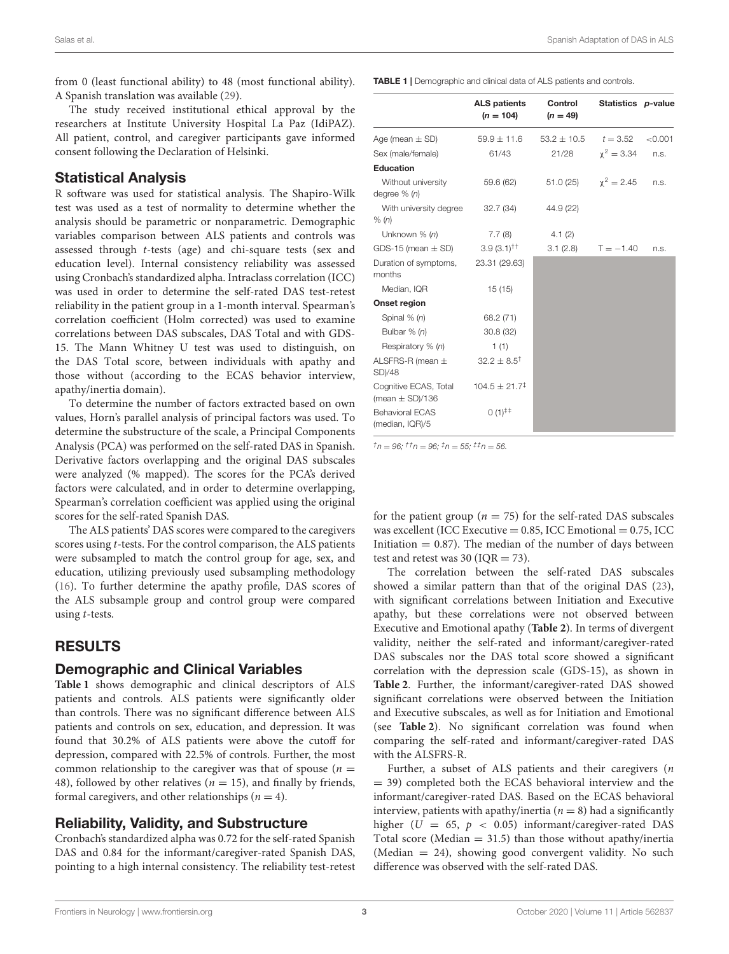from 0 (least functional ability) to 48 (most functional ability). A Spanish translation was available [\(29\)](#page-6-22).

The study received institutional ethical approval by the researchers at Institute University Hospital La Paz (IdiPAZ). All patient, control, and caregiver participants gave informed consent following the Declaration of Helsinki.

#### Statistical Analysis

R software was used for statistical analysis. The Shapiro-Wilk test was used as a test of normality to determine whether the analysis should be parametric or nonparametric. Demographic variables comparison between ALS patients and controls was assessed through t-tests (age) and chi-square tests (sex and education level). Internal consistency reliability was assessed using Cronbach's standardized alpha. Intraclass correlation (ICC) was used in order to determine the self-rated DAS test-retest reliability in the patient group in a 1-month interval. Spearman's correlation coefficient (Holm corrected) was used to examine correlations between DAS subscales, DAS Total and with GDS-15. The Mann Whitney U test was used to distinguish, on the DAS Total score, between individuals with apathy and those without (according to the ECAS behavior interview, apathy/inertia domain).

To determine the number of factors extracted based on own values, Horn's parallel analysis of principal factors was used. To determine the substructure of the scale, a Principal Components Analysis (PCA) was performed on the self-rated DAS in Spanish. Derivative factors overlapping and the original DAS subscales were analyzed (% mapped). The scores for the PCA's derived factors were calculated, and in order to determine overlapping, Spearman's correlation coefficient was applied using the original scores for the self-rated Spanish DAS.

The ALS patients' DAS scores were compared to the caregivers scores using t-tests. For the control comparison, the ALS patients were subsampled to match the control group for age, sex, and education, utilizing previously used subsampling methodology [\(16\)](#page-6-10). To further determine the apathy profile, DAS scores of the ALS subsample group and control group were compared using t-tests.

# RESULTS

### Demographic and Clinical Variables

**[Table 1](#page-2-0)** shows demographic and clinical descriptors of ALS patients and controls. ALS patients were significantly older than controls. There was no significant difference between ALS patients and controls on sex, education, and depression. It was found that 30.2% of ALS patients were above the cutoff for depression, compared with 22.5% of controls. Further, the most common relationship to the caregiver was that of spouse  $(n =$ 48), followed by other relatives ( $n = 15$ ), and finally by friends, formal caregivers, and other relationships  $(n = 4)$ .

# Reliability, Validity, and Substructure

Cronbach's standardized alpha was 0.72 for the self-rated Spanish DAS and 0.84 for the informant/caregiver-rated Spanish DAS, pointing to a high internal consistency. The reliability test-retest <span id="page-2-0"></span>TABLE 1 | Demographic and clinical data of ALS patients and controls.

|                                              | <b>ALS patients</b>         | Control         | Statistics p-value |         |
|----------------------------------------------|-----------------------------|-----------------|--------------------|---------|
|                                              | $(n = 104)$                 | $(n = 49)$      |                    |         |
| Age (mean $\pm$ SD)                          | $59.9 \pm 11.6$             | $53.2 \pm 10.5$ | $t = 3.52$         | < 0.001 |
| Sex (male/female)                            | 61/43                       | 21/28           | $\chi^2 = 3.34$    | n.s.    |
| <b>Education</b>                             |                             |                 |                    |         |
| Without university<br>degree $% (n)$         | 59.6 (62)                   | 51.0 (25)       | $x^2 = 2.45$       | n.s.    |
| With university degree<br>% (n)              | 32.7 (34)                   | 44.9 (22)       |                    |         |
| Unknown $\%$ (n)                             | 7.7(8)                      | 4.1(2)          |                    |         |
| $GDS-15$ (mean $\pm$ SD)                     | $3.9(3.1)^{+1}$             | 3.1(2.8)        | $T = -1.40$        | n.s.    |
| Duration of symptoms,<br>months              | 23.31 (29.63)               |                 |                    |         |
| Median, IQR                                  | 15(15)                      |                 |                    |         |
| Onset region                                 |                             |                 |                    |         |
| Spinal % (n)                                 | 68.2 (71)                   |                 |                    |         |
| Bulbar % (n)                                 | 30.8(32)                    |                 |                    |         |
| Respiratory % (n)                            | 1(1)                        |                 |                    |         |
| ALSFRS-R (mean $\pm$<br>SD)/48               | $32.2 \pm 8.5^{\dagger}$    |                 |                    |         |
| Cognitive ECAS, Total<br>(mean $\pm$ SD)/136 | $104.5 \pm 21.7^{\ddagger}$ |                 |                    |         |
| <b>Behavioral ECAS</b><br>(median, IQR)/5    | $0(1)^{\ddagger \ddagger}$  |                 |                    |         |

 $t_n = 96$ ;  $t \cdot \tau_n = 96$ ;  $t_n = 55$ ;  $t \cdot \tau_n = 56$ .

for the patient group ( $n = 75$ ) for the self-rated DAS subscales was excellent (ICC Executive  $= 0.85$ , ICC Emotional  $= 0.75$ , ICC Initiation  $= 0.87$ ). The median of the number of days between test and retest was 30 ( $IQR = 73$ ).

The correlation between the self-rated DAS subscales showed a similar pattern than that of the original DAS [\(23\)](#page-6-16), with significant correlations between Initiation and Executive apathy, but these correlations were not observed between Executive and Emotional apathy (**[Table 2](#page-3-0)**). In terms of divergent validity, neither the self-rated and informant/caregiver-rated DAS subscales nor the DAS total score showed a significant correlation with the depression scale (GDS-15), as shown in **[Table 2](#page-3-0)**. Further, the informant/caregiver-rated DAS showed significant correlations were observed between the Initiation and Executive subscales, as well as for Initiation and Emotional (see **[Table 2](#page-3-0)**). No significant correlation was found when comparing the self-rated and informant/caregiver-rated DAS with the ALSFRS-R.

Further, a subset of ALS patients and their caregivers (n = 39) completed both the ECAS behavioral interview and the informant/caregiver-rated DAS. Based on the ECAS behavioral interview, patients with apathy/inertia ( $n = 8$ ) had a significantly higher ( $U = 65$ ,  $p < 0.05$ ) informant/caregiver-rated DAS Total score (Median  $= 31.5$ ) than those without apathy/inertia (Median = 24), showing good convergent validity. No such difference was observed with the self-rated DAS.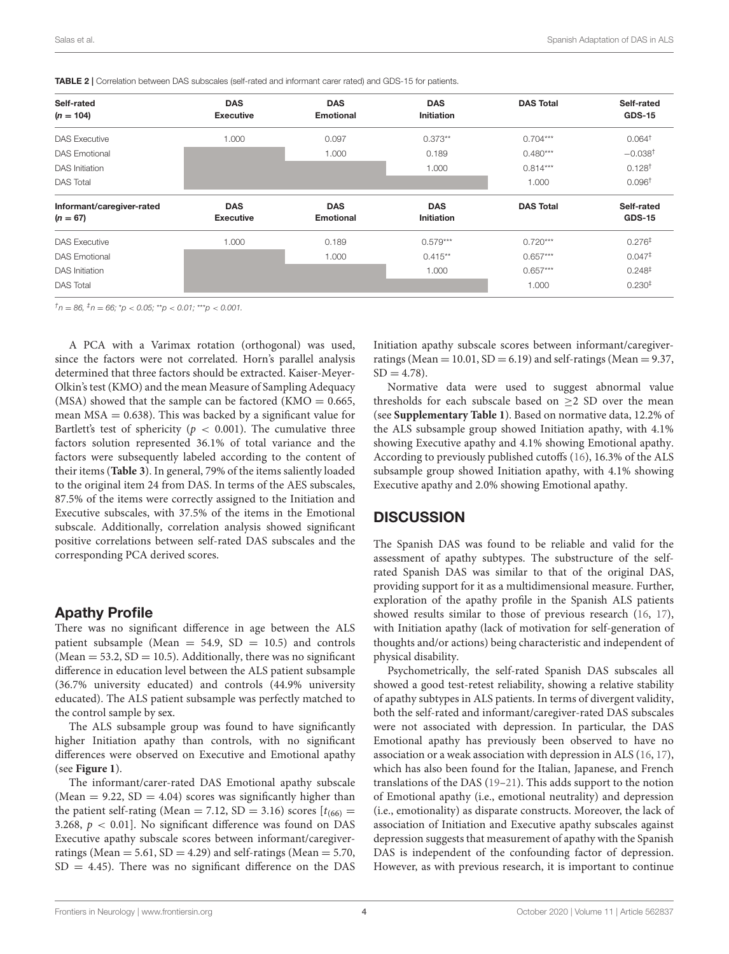<span id="page-3-0"></span>TABLE 2 | Correlation between DAS subscales (self-rated and informant carer rated) and GDS-15 for patients.

| Self-rated<br>$(n = 104)$ | <b>DAS</b><br><b>Executive</b> | <b>DAS</b><br><b>Emotional</b> | <b>DAS</b><br>Initiation | <b>DAS Total</b> | Self-rated<br><b>GDS-15</b> |
|---------------------------|--------------------------------|--------------------------------|--------------------------|------------------|-----------------------------|
|                           |                                |                                |                          |                  |                             |
| <b>DAS</b> Emotional      |                                | 1.000                          | 0.189                    | $0.480***$       | $-0.038†$                   |
| <b>DAS</b> Initiation     |                                |                                | 1.000                    | $0.814***$       | 0.128 <sup>†</sup>          |
| <b>DAS Total</b>          |                                |                                |                          | 1.000            | 0.096 <sup>†</sup>          |
| Informant/caregiver-rated | <b>DAS</b>                     | <b>DAS</b>                     | <b>DAS</b>               | <b>DAS Total</b> | Self-rated                  |
| $(n = 67)$                | <b>Executive</b>               | <b>Emotional</b>               | Initiation               |                  | <b>GDS-15</b>               |
| <b>DAS Executive</b>      | 1.000                          | 0.189                          | $0.579***$               | $0.720***$       | 0.276 <sup>‡</sup>          |
| <b>DAS Emotional</b>      |                                | 1.000                          | $0.415**$                | $0.657***$       | $0.047^{\ddagger}$          |
| <b>DAS</b> Initiation     |                                |                                | 1.000                    | $0.657***$       | $0.248^{\ddagger}$          |
| <b>DAS Total</b>          |                                |                                |                          | 1.000            | 0.230 <sup>‡</sup>          |

 $^{\dagger}$ n = 86,  $^{\dagger}$ n = 66;  $^{\dagger}$ p < 0.05;  $^{\star\star}$ p < 0.01;  $^{\star\star\star}$ p < 0.001.

A PCA with a Varimax rotation (orthogonal) was used, since the factors were not correlated. Horn's parallel analysis determined that three factors should be extracted. Kaiser-Meyer-Olkin's test (KMO) and the mean Measure of Sampling Adequacy (MSA) showed that the sample can be factored (KMO =  $0.665$ , mean  $MSA = 0.638$ ). This was backed by a significant value for Bartlett's test of sphericity ( $p < 0.001$ ). The cumulative three factors solution represented 36.1% of total variance and the factors were subsequently labeled according to the content of their items (**[Table 3](#page-4-0)**). In general, 79% of the items saliently loaded to the original item 24 from DAS. In terms of the AES subscales, 87.5% of the items were correctly assigned to the Initiation and Executive subscales, with 37.5% of the items in the Emotional subscale. Additionally, correlation analysis showed significant positive correlations between self-rated DAS subscales and the corresponding PCA derived scores.

#### Apathy Profile

There was no significant difference in age between the ALS patient subsample (Mean  $= 54.9$ , SD  $= 10.5$ ) and controls (Mean  $=$  53.2, SD  $=$  10.5). Additionally, there was no significant difference in education level between the ALS patient subsample (36.7% university educated) and controls (44.9% university educated). The ALS patient subsample was perfectly matched to the control sample by sex.

The ALS subsample group was found to have significantly higher Initiation apathy than controls, with no significant differences were observed on Executive and Emotional apathy (see **[Figure 1](#page-5-3)**).

The informant/carer-rated DAS Emotional apathy subscale (Mean  $= 9.22$ , SD  $= 4.04$ ) scores was significantly higher than the patient self-rating (Mean = 7.12, SD = 3.16) scores  $[t<sub>(66)</sub>]$ 3.268,  $p < 0.01$ ]. No significant difference was found on DAS Executive apathy subscale scores between informant/caregiverratings (Mean  $= 5.61$ , SD  $= 4.29$ ) and self-ratings (Mean  $= 5.70$ ,  $SD = 4.45$ ). There was no significant difference on the DAS Initiation apathy subscale scores between informant/caregiverratings (Mean  $= 10.01$ , SD  $= 6.19$ ) and self-ratings (Mean  $= 9.37$ ,  $SD = 4.78$ .

Normative data were used to suggest abnormal value thresholds for each subscale based on  $\geq$ 2 SD over the mean (see **[Supplementary Table 1](#page-5-2)**). Based on normative data, 12.2% of the ALS subsample group showed Initiation apathy, with 4.1% showing Executive apathy and 4.1% showing Emotional apathy. According to previously published cutoffs [\(16\)](#page-6-10), 16.3% of the ALS subsample group showed Initiation apathy, with 4.1% showing Executive apathy and 2.0% showing Emotional apathy.

### **DISCUSSION**

The Spanish DAS was found to be reliable and valid for the assessment of apathy subtypes. The substructure of the selfrated Spanish DAS was similar to that of the original DAS, providing support for it as a multidimensional measure. Further, exploration of the apathy profile in the Spanish ALS patients showed results similar to those of previous research [\(16,](#page-6-10) [17\)](#page-6-11), with Initiation apathy (lack of motivation for self-generation of thoughts and/or actions) being characteristic and independent of physical disability.

Psychometrically, the self-rated Spanish DAS subscales all showed a good test-retest reliability, showing a relative stability of apathy subtypes in ALS patients. In terms of divergent validity, both the self-rated and informant/caregiver-rated DAS subscales were not associated with depression. In particular, the DAS Emotional apathy has previously been observed to have no association or a weak association with depression in ALS [\(16,](#page-6-10) [17\)](#page-6-11), which has also been found for the Italian, Japanese, and French translations of the DAS [\(19](#page-6-13)[–21\)](#page-6-14). This adds support to the notion of Emotional apathy (i.e., emotional neutrality) and depression (i.e., emotionality) as disparate constructs. Moreover, the lack of association of Initiation and Executive apathy subscales against depression suggests that measurement of apathy with the Spanish DAS is independent of the confounding factor of depression. However, as with previous research, it is important to continue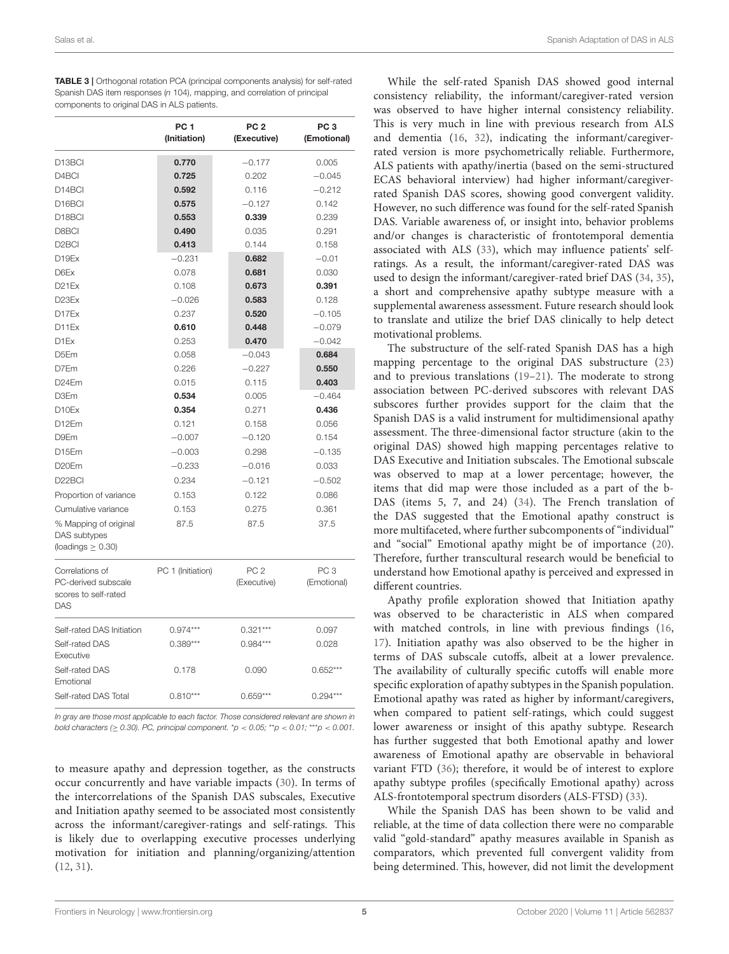<span id="page-4-0"></span>TABLE 3 | Orthogonal rotation PCA (principal components analysis) for self-rated Spanish DAS item responses (n 104), mapping, and correlation of principal components to original DAS in ALS patients.

|                                                                       | PC <sub>1</sub><br>(Initiation) | PC <sub>2</sub><br>(Executive) | PC <sub>3</sub><br>(Emotional) |
|-----------------------------------------------------------------------|---------------------------------|--------------------------------|--------------------------------|
| D <sub>13</sub> BCI                                                   | 0.770                           | $-0.177$                       | 0.005                          |
| D <sub>4</sub> BCI                                                    | 0.725                           | 0.202                          | $-0.045$                       |
| D <sub>14</sub> BCI                                                   | 0.592                           | 0.116                          | $-0.212$                       |
| D <sub>16</sub> BCI                                                   | 0.575                           | $-0.127$                       | 0.142                          |
| D18BCI                                                                | 0.553                           | 0.339                          | 0.239                          |
| D8BCI                                                                 | 0.490                           | 0.035                          | 0.291                          |
| D <sub>2</sub> BCI                                                    | 0.413                           | 0.144                          | 0.158                          |
| D <sub>19</sub> Fx                                                    | $-0.231$                        | 0.682                          | $-0.01$                        |
| D6Ex                                                                  | 0.078                           | 0.681                          | 0.030                          |
| D <sub>21</sub> Ex                                                    | 0.108                           | 0.673                          | 0.391                          |
| D <sub>23</sub> Ex                                                    | $-0.026$                        | 0.583                          | 0.128                          |
| D17Ex                                                                 | 0.237                           | 0.520                          | $-0.105$                       |
| D11Ex                                                                 | 0.610                           | 0.448                          | $-0.079$                       |
| D <sub>1</sub> Ex                                                     | 0.253                           | 0.470                          | $-0.042$                       |
| D <sub>5</sub> Em                                                     | 0.058                           | $-0.043$                       | 0.684                          |
| D7Em                                                                  | 0.226                           | $-0.227$                       | 0.550                          |
| D <sub>24</sub> Fm                                                    | 0.015                           | 0.115                          | 0.403                          |
| D3Em                                                                  | 0.534                           | 0.005                          | $-0.464$                       |
| D <sub>10</sub> Ex                                                    | 0.354                           | 0.271                          | 0.436                          |
| D12Em                                                                 | 0.121                           | 0.158                          | 0.056                          |
| D9Fm                                                                  | $-0.007$                        | $-0.120$                       | 0.154                          |
| D <sub>15</sub> Em                                                    | $-0.003$                        | 0.298                          | $-0.135$                       |
| D <sub>20</sub> Em                                                    | $-0.233$                        | $-0.016$                       | 0.033                          |
| D <sub>22</sub> BCI                                                   | 0.234                           | $-0.121$                       | $-0.502$                       |
| Proportion of variance                                                | 0.153                           | 0.122                          | 0.086                          |
| Cumulative variance                                                   | 0.153                           | 0.275                          | 0.361                          |
| % Mapping of original<br>DAS subtypes<br>(loadings $\geq$ 0.30)       | 87.5                            | 87.5                           | 37.5                           |
| Correlations of<br>PC-derived subscale<br>scores to self-rated<br>DAS | PC 1 (Initiation)               | PC <sub>2</sub><br>(Executive) | PC <sub>3</sub><br>(Emotional) |
| Self-rated DAS Initiation                                             | $0.974***$                      | $0.321***$                     | 0.097                          |
| Self-rated DAS<br>Executive                                           | $0.389***$                      | $0.984***$                     | 0.028                          |
| Self-rated DAS<br>Emotional                                           | 0.178                           | 0.090                          | $0.652***$                     |
| Self-rated DAS Total                                                  | $0.810***$                      | $0.659***$                     | $0.294***$                     |

In gray are those most applicable to each factor. Those considered relevant are shown in bold characters ( $\geq$  0.30). PC, principal component. \*p < 0.05; \*\*p < 0.01; \*\*\*p < 0.001.

to measure apathy and depression together, as the constructs occur concurrently and have variable impacts [\(30\)](#page-6-23). In terms of the intercorrelations of the Spanish DAS subscales, Executive and Initiation apathy seemed to be associated most consistently across the informant/caregiver-ratings and self-ratings. This is likely due to overlapping executive processes underlying motivation for initiation and planning/organizing/attention [\(12,](#page-6-7) [31\)](#page-6-24).

While the self-rated Spanish DAS showed good internal consistency reliability, the informant/caregiver-rated version was observed to have higher internal consistency reliability. This is very much in line with previous research from ALS and dementia [\(16,](#page-6-10) [32\)](#page-6-25), indicating the informant/caregiverrated version is more psychometrically reliable. Furthermore, ALS patients with apathy/inertia (based on the semi-structured ECAS behavioral interview) had higher informant/caregiverrated Spanish DAS scores, showing good convergent validity. However, no such difference was found for the self-rated Spanish DAS. Variable awareness of, or insight into, behavior problems and/or changes is characteristic of frontotemporal dementia associated with ALS [\(33\)](#page-6-26), which may influence patients' selfratings. As a result, the informant/caregiver-rated DAS was used to design the informant/caregiver-rated brief DAS [\(34,](#page-6-27) [35\)](#page-6-28), a short and comprehensive apathy subtype measure with a supplemental awareness assessment. Future research should look to translate and utilize the brief DAS clinically to help detect motivational problems.

The substructure of the self-rated Spanish DAS has a high mapping percentage to the original DAS substructure [\(23\)](#page-6-16) and to previous translations [\(19](#page-6-13)[–21\)](#page-6-14). The moderate to strong association between PC-derived subscores with relevant DAS subscores further provides support for the claim that the Spanish DAS is a valid instrument for multidimensional apathy assessment. The three-dimensional factor structure (akin to the original DAS) showed high mapping percentages relative to DAS Executive and Initiation subscales. The Emotional subscale was observed to map at a lower percentage; however, the items that did map were those included as a part of the b-DAS (items 5, 7, and 24) [\(34\)](#page-6-27). The French translation of the DAS suggested that the Emotional apathy construct is more multifaceted, where further subcomponents of "individual" and "social" Emotional apathy might be of importance [\(20\)](#page-6-29). Therefore, further transcultural research would be beneficial to understand how Emotional apathy is perceived and expressed in different countries.

Apathy profile exploration showed that Initiation apathy was observed to be characteristic in ALS when compared with matched controls, in line with previous findings [\(16,](#page-6-10) [17\)](#page-6-11). Initiation apathy was also observed to be the higher in terms of DAS subscale cutoffs, albeit at a lower prevalence. The availability of culturally specific cutoffs will enable more specific exploration of apathy subtypes in the Spanish population. Emotional apathy was rated as higher by informant/caregivers, when compared to patient self-ratings, which could suggest lower awareness or insight of this apathy subtype. Research has further suggested that both Emotional apathy and lower awareness of Emotional apathy are observable in behavioral variant FTD [\(36\)](#page-6-30); therefore, it would be of interest to explore apathy subtype profiles (specifically Emotional apathy) across ALS-frontotemporal spectrum disorders (ALS-FTSD) [\(33\)](#page-6-26).

While the Spanish DAS has been shown to be valid and reliable, at the time of data collection there were no comparable valid "gold-standard" apathy measures available in Spanish as comparators, which prevented full convergent validity from being determined. This, however, did not limit the development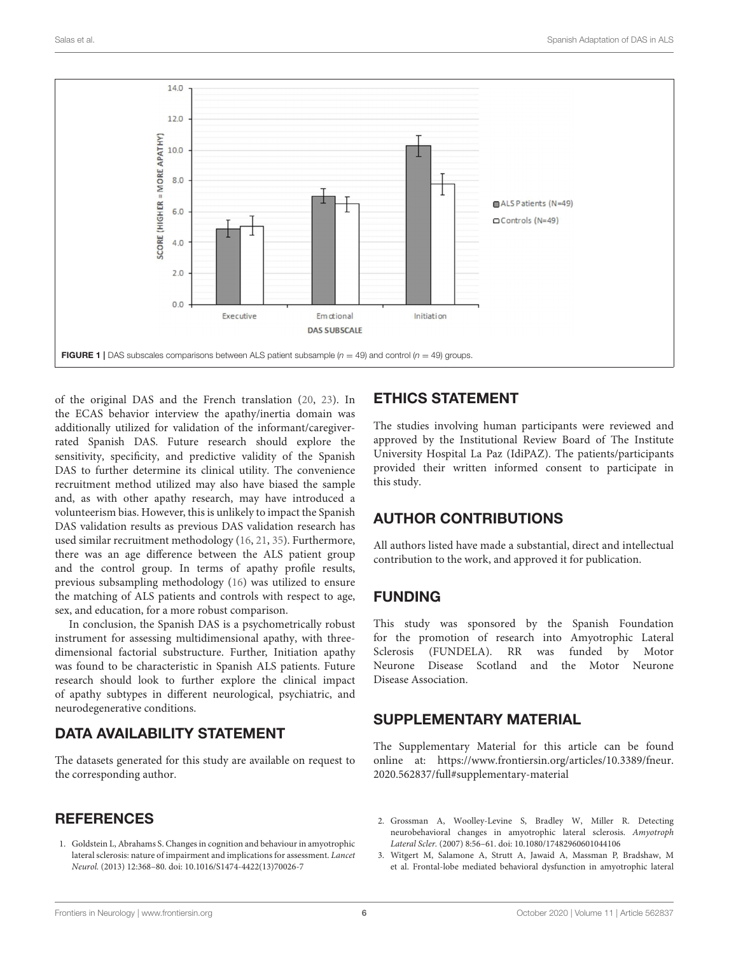

<span id="page-5-3"></span>of the original DAS and the French translation [\(20,](#page-6-29) [23\)](#page-6-16). In the ECAS behavior interview the apathy/inertia domain was additionally utilized for validation of the informant/caregiverrated Spanish DAS. Future research should explore the sensitivity, specificity, and predictive validity of the Spanish DAS to further determine its clinical utility. The convenience recruitment method utilized may also have biased the sample and, as with other apathy research, may have introduced a volunteerism bias. However, this is unlikely to impact the Spanish DAS validation results as previous DAS validation research has used similar recruitment methodology [\(16,](#page-6-10) [21,](#page-6-14) [35\)](#page-6-28). Furthermore, there was an age difference between the ALS patient group and the control group. In terms of apathy profile results, previous subsampling methodology [\(16\)](#page-6-10) was utilized to ensure the matching of ALS patients and controls with respect to age, sex, and education, for a more robust comparison.

In conclusion, the Spanish DAS is a psychometrically robust instrument for assessing multidimensional apathy, with threedimensional factorial substructure. Further, Initiation apathy was found to be characteristic in Spanish ALS patients. Future research should look to further explore the clinical impact of apathy subtypes in different neurological, psychiatric, and neurodegenerative conditions.

# DATA AVAILABILITY STATEMENT

The datasets generated for this study are available on request to the corresponding author.

# **REFERENCES**

<span id="page-5-0"></span>1. Goldstein L, Abrahams S. Changes in cognition and behaviour in amyotrophic lateral sclerosis: nature of impairment and implications for assessment. Lancet Neurol. (2013) 12:368–80. doi: [10.1016/S1474-4422\(13\)70026-7](https://doi.org/10.1016/S1474-4422(13)70026-7)

# ETHICS STATEMENT

The studies involving human participants were reviewed and approved by the Institutional Review Board of The Institute University Hospital La Paz (IdiPAZ). The patients/participants provided their written informed consent to participate in this study.

### AUTHOR CONTRIBUTIONS

All authors listed have made a substantial, direct and intellectual contribution to the work, and approved it for publication.

# FUNDING

This study was sponsored by the Spanish Foundation for the promotion of research into Amyotrophic Lateral Sclerosis (FUNDELA). RR was funded by Motor Neurone Disease Scotland and the Motor Neurone Disease Association.

### SUPPLEMENTARY MATERIAL

<span id="page-5-2"></span>The Supplementary Material for this article can be found [online at: https://www.frontiersin.org/articles/10.3389/fneur.](https://www.frontiersin.org/articles/10.3389/fneur.2020.562837/full#supplementary-material) 2020.562837/full#supplementary-material

- <span id="page-5-1"></span>2. Grossman A, Woolley-Levine S, Bradley W, Miller R. Detecting neurobehavioral changes in amyotrophic lateral sclerosis. Amyotroph Lateral Scler. (2007) 8:56–61. doi: [10.1080/17482960601044106](https://doi.org/10.1080/17482960601044106)
- 3. Witgert M, Salamone A, Strutt A, Jawaid A, Massman P, Bradshaw, M et al. Frontal-lobe mediated behavioral dysfunction in amyotrophic lateral